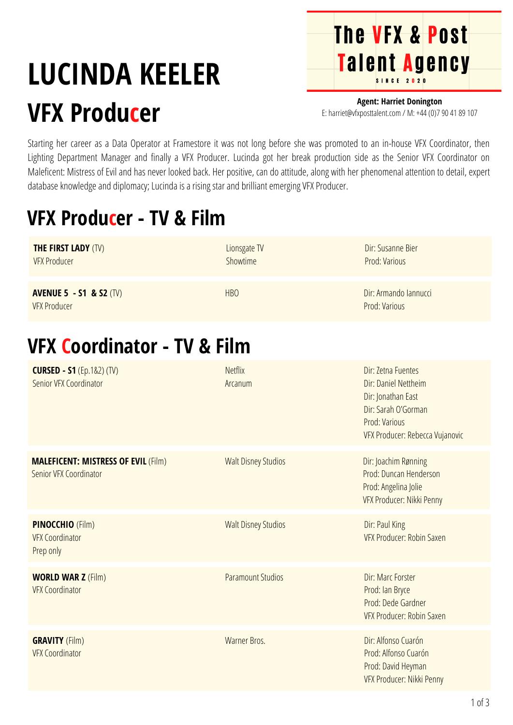# **LUCINDA KEELER VFX Producer**

**Agent: Harriet Donington** E: harriet@vfxposttalent.com / M:+44(0)7904189107

**The VFX & Post** 

Talent Agency

Starting her career as a Data Operator at Framestore it was not long before she was promoted to an in-house VFX Coordinator, then Lighting Department Manager and finally a VFX Producer. Lucinda got her break production side as the Senior VFX Coordinator on Maleficent: Mistress of Evil and has never looked back. Her positive, can do attitude, along with her phenomenal attention to detail, expert database knowledge and diplomacy; Lucinda is a rising star and brilliant emerging VFX Producer.

## **VFX Producer - TV & Film**

| <b>THE FIRST LADY (TV)</b><br><b>VFX Producer</b>                    | Lionsgate TV<br>Showtime   | Dir: Susanne Bier<br>Prod: Various                                                                                                          |
|----------------------------------------------------------------------|----------------------------|---------------------------------------------------------------------------------------------------------------------------------------------|
| <b>AVENUE 5 - S1 &amp; S2 (TV)</b><br><b>VFX Producer</b>            | <b>HBO</b>                 | Dir: Armando Iannucci<br>Prod: Various                                                                                                      |
| <b>VFX Coordinator - TV &amp; Film</b>                               |                            |                                                                                                                                             |
| <b>CURSED - S1</b> (Ep.1&2) (TV)<br>Senior VFX Coordinator           | <b>Netflix</b><br>Arcanum  | Dir: Zetna Fuentes<br>Dir: Daniel Nettheim<br>Dir: Jonathan East<br>Dir: Sarah O'Gorman<br>Prod: Various<br>VFX Producer: Rebecca Vujanovic |
| <b>MALEFICENT: MISTRESS OF EVIL (Film)</b><br>Senior VFX Coordinator | <b>Walt Disney Studios</b> | Dir: Joachim Rønning<br>Prod: Duncan Henderson<br>Prod: Angelina Jolie<br>VFX Producer: Nikki Penny                                         |
| <b>PINOCCHIO (Film)</b><br><b>VFX Coordinator</b><br>Prep only       | <b>Walt Disney Studios</b> | Dir: Paul King<br>VFX Producer: Robin Saxen                                                                                                 |
| <b>WORLD WAR Z (Film)</b><br><b>VFX Coordinator</b>                  | <b>Paramount Studios</b>   | Dir: Marc Forster<br>Prod: Ian Bryce<br>Prod: Dede Gardner<br>VFX Producer: Robin Saxen                                                     |
| <b>GRAVITY</b> (Film)<br><b>VFX Coordinator</b>                      | Warner Bros.               | Dir: Alfonso Cuarón<br>Prod: Alfonso Cuarón<br>Prod: David Heyman<br>VFX Producer: Nikki Penny                                              |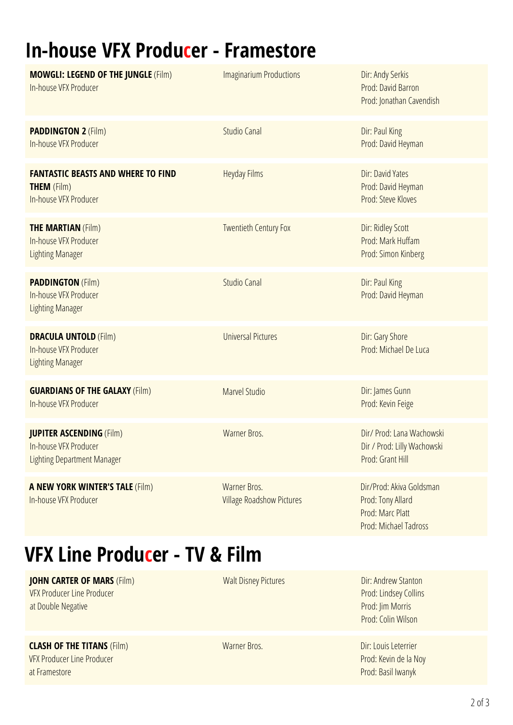## **In-house VFX Producer - Framestore**

| <b>MOWGLI: LEGEND OF THE JUNGLE (Film)</b><br>In-house VFX Producer                            | <b>Imaginarium Productions</b>                   | Dir: Andy Serkis<br>Prod: David Barron<br>Prod: Jonathan Cavendish                         |
|------------------------------------------------------------------------------------------------|--------------------------------------------------|--------------------------------------------------------------------------------------------|
| <b>PADDINGTON 2 (Film)</b><br>In-house VFX Producer                                            | <b>Studio Canal</b>                              | Dir: Paul King<br>Prod: David Heyman                                                       |
| <b>FANTASTIC BEASTS AND WHERE TO FIND</b><br><b>THEM</b> (Film)<br>In-house VFX Producer       | <b>Heyday Films</b>                              | Dir: David Yates<br>Prod: David Heyman<br>Prod: Steve Kloves                               |
| <b>THE MARTIAN (Film)</b><br>In-house VFX Producer<br><b>Lighting Manager</b>                  | <b>Twentieth Century Fox</b>                     | Dir: Ridley Scott<br>Prod: Mark Huffam<br>Prod: Simon Kinberg                              |
| <b>PADDINGTON (Film)</b><br>In-house VFX Producer<br><b>Lighting Manager</b>                   | <b>Studio Canal</b>                              | Dir: Paul King<br>Prod: David Heyman                                                       |
| <b>DRACULA UNTOLD (Film)</b><br>In-house VFX Producer<br><b>Lighting Manager</b>               | <b>Universal Pictures</b>                        | Dir: Gary Shore<br>Prod: Michael De Luca                                                   |
| <b>GUARDIANS OF THE GALAXY (Film)</b><br>In-house VFX Producer                                 | <b>Marvel Studio</b>                             | Dir: James Gunn<br>Prod: Kevin Feige                                                       |
| <b>JUPITER ASCENDING (Film)</b><br>In-house VFX Producer<br><b>Lighting Department Manager</b> | Warner Bros.                                     | Dir/ Prod: Lana Wachowski<br>Dir / Prod: Lilly Wachowski<br>Prod: Grant Hill               |
| <b>A NEW YORK WINTER'S TALE (Film)</b><br>In-house VFX Producer                                | Warner Bros.<br><b>Village Roadshow Pictures</b> | Dir/Prod: Akiva Goldsman<br>Prod: Tony Allard<br>Prod: Marc Platt<br>Prod: Michael Tadross |

### **VFX Line Producer - TV & Film**

**JOHN CARTER OF MARS** (Film) VFX Producer Line Producer at Double Negative

**CLASH OF THE TITANS** (Film)

VFX Producer Line Producer at Framestore

Warner Bros.

Walt Disney Pictures

Dir: Andrew Stanton [Prod:](https://pro.imdb.com/name/nm0382268/) [Lindsey](https://pro.imdb.com/name/nm0382268/) Collins [Prod:](https://pro.imdb.com/name/nm0382268/) Jim [Morris](https://pro.imdb.com/name/nm0382268/) [Prod:](https://pro.imdb.com/name/nm0382268/) Colin [Wilson](https://pro.imdb.com/name/nm0382268/)

Dir: Louis [Leterrier](https://pro.imdb.com/name/nm0504642/) Prod: [Kevin](https://pro.imdb.com/name/nm0382268/) de la Noy Prod: Basil [Iwanyk](https://pro.imdb.com/name/nm0382268/)